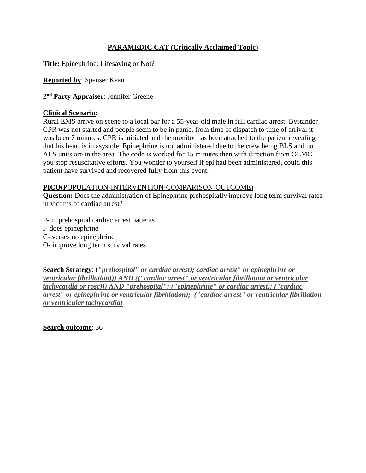# **PARAMEDIC CAT (Critically Acclaimed Topic)**

**Title:** Epinephrine: Lifesaving or Not?

**Reported by**: Spenser Kean

**2 nd Party Appraiser**: Jennifer Greene

### **Clinical Scenario**:

Rural EMS arrive on scene to a local bar for a 55-year-old male in full cardiac arrest. Bystander CPR was not started and people seem to be in panic, from time of dispatch to time of arrival it was been 7 minutes. CPR is initiated and the monitor has been attached to the patient revealing that his heart is in asystole. Epinephrine is not administered due to the crew being BLS and no ALS units are in the area. The code is worked for 15 minutes then with direction from OLMC you stop resuscitative efforts. You wonder to yourself if epi had been administered, could this patient have survived and recovered fully from this event.

## **PICO(**POPULATION-INTERVENTION-COMPARISON-OUTCOME)

**Question:** Does the administration of Epinephrine prehospitally improve long term survival rates in victims of cardiac arrest?

- P- in prehospital cardiac arrest patients
- I- does epinephrine
- C- verses no epinephrine
- O- improve long term survival rates

**Search Strategy**: (*"prehospital" or cardiac arrest); cardiac arrest" or epinephrine or ventricular fibrillation))) AND (("cardiac arrest" or ventricular fibrillation or ventricular tachycardia or rosc))) AND "prehospital"; ("epinephrine" or cardiac arrest); ("cardiac arrest" or epinephrine or ventricular fibrillation); ("cardiac arrest" or ventricular fibrillation or ventricular tachycardia)*

**Search outcome**: 36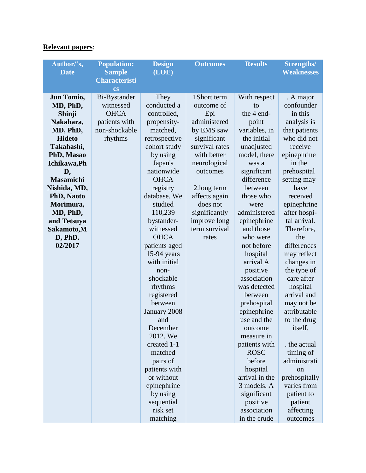# **Relevant papers**:

| Author/'s,       | <b>Population:</b>                    | <b>Design</b>         | <b>Outcomes</b> | <b>Results</b>         | <b>Strengths/</b>          |
|------------------|---------------------------------------|-----------------------|-----------------|------------------------|----------------------------|
| <b>Date</b>      | <b>Sample</b><br><b>Characteristi</b> | (LOE)                 |                 |                        | <b>Weaknesses</b>          |
|                  | <b>cs</b>                             |                       |                 |                        |                            |
| Jun Tomio,       | Bi-Bystander                          | They                  | 1Short term     | With respect           | . A major                  |
| MD, PhD,         | witnessed                             | conducted a           | outcome of      | to                     | confounder                 |
| Shinji           | <b>OHCA</b>                           | controlled,           | Epi             | the 4 end-             | in this                    |
| Nakahara,        | patients with                         | propensity-           | administered    | point                  | analysis is                |
| MD, PhD,         | non-shockable                         | matched,              | by EMS saw      | variables, in          | that patients              |
| <b>Hideto</b>    | rhythms                               | retrospective         | significant     | the initial            | who did not                |
| Takahashi,       |                                       | cohort study          | survival rates  | unadjusted             | receive                    |
| PhD, Masao       |                                       | by using              | with better     | model, there           | epinephrine                |
| Ichikawa, Ph     |                                       | Japan's               | neurological    | was a                  | in the                     |
| D,               |                                       | nationwide            | outcomes        | significant            | prehospital                |
| <b>Masamichi</b> |                                       | <b>OHCA</b>           |                 | difference             | setting may                |
| Nishida, MD,     |                                       | registry              | 2.long term     | between                | have                       |
| PhD, Naoto       |                                       | database. We          | affects again   | those who              | received                   |
| Morimura,        |                                       | studied               | does not        | were                   | epinephrine                |
| MD, PhD,         |                                       | 110,239               | significantly   | administered           | after hospi-               |
| and Tetsuya      |                                       | bystander-            | improve long    | epinephrine            | tal arrival.               |
| Sakamoto,M       |                                       | witnessed             | term survival   | and those              | Therefore,                 |
| D, PhD.          |                                       | <b>OHCA</b>           | rates           | who were               | the                        |
| 02/2017          |                                       | patients aged         |                 | not before             | differences                |
|                  |                                       | $15-94$ years         |                 | hospital               | may reflect                |
|                  |                                       | with initial          |                 | arrival A              | changes in                 |
|                  |                                       | non-                  |                 | positive               | the type of                |
|                  |                                       | shockable             |                 | association            | care after                 |
|                  |                                       | rhythms               |                 | was detected           | hospital                   |
|                  |                                       | registered<br>between |                 | between<br>prehospital | arrival and                |
|                  |                                       |                       |                 | epinephrine            | may not be<br>attributable |
|                  |                                       | January 2008<br>and   |                 | use and the            | to the drug                |
|                  |                                       | December              |                 | outcome                | itself.                    |
|                  |                                       | 2012. We              |                 | measure in             |                            |
|                  |                                       | created 1-1           |                 | patients with          | the actual                 |
|                  |                                       | matched               |                 | <b>ROSC</b>            | timing of                  |
|                  |                                       | pairs of              |                 | before                 | administrati               |
|                  |                                       | patients with         |                 | hospital               | <sub>on</sub>              |
|                  |                                       | or without            |                 | arrival in the         | prehospitally              |
|                  |                                       | epinephrine           |                 | 3 models. A            | varies from                |
|                  |                                       | by using              |                 | significant            | patient to                 |
|                  |                                       | sequential            |                 | positive               | patient                    |
|                  |                                       | risk set              |                 | association            | affecting                  |
|                  |                                       | matching              |                 | in the crude           | outcomes                   |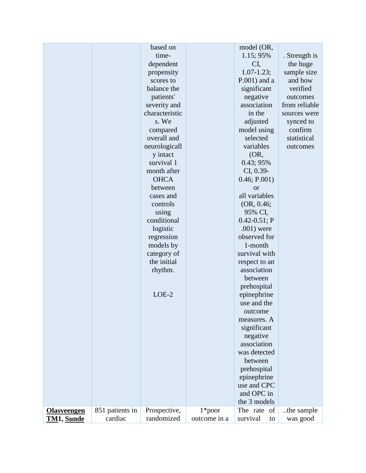|                    |                 | based on       |              | model (OR,                 |               |
|--------------------|-----------------|----------------|--------------|----------------------------|---------------|
|                    |                 | time-          |              | 1.15; 95%                  | . Strength is |
|                    |                 | dependent      |              | CI,                        | the huge      |
|                    |                 | propensity     |              | $1.07 - 1.23$ ;            | sample size   |
|                    |                 | scores to      |              | $P.001$ ) and a            | and how       |
|                    |                 | balance the    |              | significant                | verified      |
|                    |                 | patients'      |              | negative                   | outcomes      |
|                    |                 | severity and   |              | association                | from reliable |
|                    |                 | characteristic |              | in the                     | sources were  |
|                    |                 | s. We          |              | adjusted                   | synced to     |
|                    |                 | compared       |              | model using                | confirm       |
|                    |                 | overall and    |              | selected                   | statistical   |
|                    |                 | neurologicall  |              | variables                  | outcomes      |
|                    |                 | y intact       |              | (OR,                       |               |
|                    |                 | survival 1     |              | 0.43; 95%                  |               |
|                    |                 | month after    |              | CI, 0.39-                  |               |
|                    |                 | <b>OHCA</b>    |              | 0.46; P.001)               |               |
|                    |                 | between        |              | <b>or</b>                  |               |
|                    |                 | cases and      |              | all variables              |               |
|                    |                 | controls       |              | (OR, 0.46;                 |               |
|                    |                 | using          |              | 95% CI,                    |               |
|                    |                 | conditional    |              | $0.42 - 0.51$ ; P          |               |
|                    |                 | logistic       |              | $.001)$ were               |               |
|                    |                 | regression     |              | observed for               |               |
|                    |                 | models by      |              | 1-month                    |               |
|                    |                 | category of    |              | survival with              |               |
|                    |                 | the initial    |              | respect to an              |               |
|                    |                 | rhythm.        |              | association                |               |
|                    |                 |                |              | between                    |               |
|                    |                 |                |              | prehospital                |               |
|                    |                 | $LOE-2$        |              | epinephrine                |               |
|                    |                 |                |              | use and the                |               |
|                    |                 |                |              | outcome                    |               |
|                    |                 |                |              | measures. A                |               |
|                    |                 |                |              | significant                |               |
|                    |                 |                |              | negative                   |               |
|                    |                 |                |              | association                |               |
|                    |                 |                |              | was detected               |               |
|                    |                 |                |              | between                    |               |
|                    |                 |                |              | prehospital<br>epinephrine |               |
|                    |                 |                |              | use and CPC                |               |
|                    |                 |                |              | and OPC in                 |               |
|                    |                 |                |              | the 3 models               |               |
| <b>Olasveengen</b> | 851 patients in | Prospective,   | $1*$ poor    | The rate of                | the sample.   |
| TM1, Sunde         | cardiac         | randomized     | outcome in a | survival<br>to             | was good      |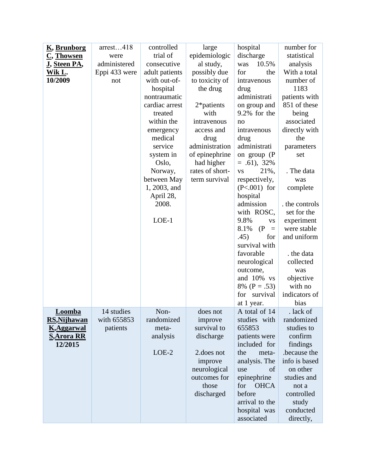| arrest418<br>controlled<br>hospital<br>large<br><u>K, Brunborg</u>       | number for                          |
|--------------------------------------------------------------------------|-------------------------------------|
| trial of<br>epidemiologic<br>C, Thowsen<br>were                          | discharge<br>statistical            |
| <u>J, Steen PA,</u><br>administered<br>al study,<br>consecutive<br>was   | 10.5%<br>analysis                   |
| Eppi 433 were<br>adult patients<br>possibly due<br>for<br><u>Wik L</u> . | With a total<br>the                 |
| 10/2009<br>with out-of-<br>to toxicity of<br>not                         | number of<br>intravenous            |
| hospital<br>the drug<br>drug                                             | 1183                                |
| nontraumatic                                                             | administrati<br>patients with       |
| cardiac arrest<br>2*patients                                             | 851 of these<br>on group and        |
| with<br>treated                                                          | 9.2% for the<br>being               |
| within the<br>intravenous<br>no                                          | associated                          |
| access and<br>emergency                                                  | directly with<br>intravenous        |
| medical<br>drug<br>drug                                                  | the                                 |
| administration<br>service                                                | administrati<br>parameters          |
| of epinephrine<br>system in                                              | on group $(P)$<br>set               |
| Oslo,<br>had higher                                                      | $= .61$ , 32%                       |
| rates of short-<br>Norway,<br><b>VS</b>                                  | 21%,<br>. The data                  |
| between May<br>term survival                                             | respectively,<br>was                |
| 1, 2003, and                                                             | $(P<.001)$ for<br>complete          |
| April 28,<br>hospital                                                    |                                     |
| 2008.                                                                    | admission<br>the controls           |
|                                                                          | set for the<br>with ROSC,           |
| $LOE-1$<br>9.8%                                                          | experiment<br><b>VS</b>             |
| 8.1%                                                                     | (P)<br>were stable<br>$\equiv$      |
| .45)                                                                     | and uniform<br>for                  |
|                                                                          | survival with                       |
|                                                                          | favorable<br>. the data             |
|                                                                          | collected<br>neurological           |
| outcome,                                                                 | was                                 |
|                                                                          | and 10% vs<br>objective             |
|                                                                          | with no<br>8% ( $P = .53$ )         |
|                                                                          | indicators of<br>for survival       |
|                                                                          | at 1 year.<br>bias                  |
| 14 studies<br>Non-<br>Loomba<br>does not                                 | A total of 14<br>. lack of          |
| with 655853<br>randomized<br><b>RS, Nijhawan</b><br>improve              | studies with<br>randomized          |
| survival to<br>655853<br>patients<br><b>K, Aggarwal</b><br>meta-         | studies to                          |
| <b>S, Arora RR</b><br>analysis<br>discharge                              | confirm<br>patients were            |
| 12/2015                                                                  | included for<br>findings            |
| $LOE-2$<br>2.does not<br>the                                             | because the<br>meta-                |
| improve                                                                  | analysis. The<br>info is based      |
| neurological<br>use<br>outcomes for                                      | on other<br>of<br>studies and       |
| those<br>for                                                             | epinephrine<br><b>OHCA</b><br>not a |
| discharged<br>before                                                     | controlled                          |
|                                                                          | arrival to the<br>study             |
|                                                                          | hospital was<br>conducted           |
|                                                                          | associated<br>directly,             |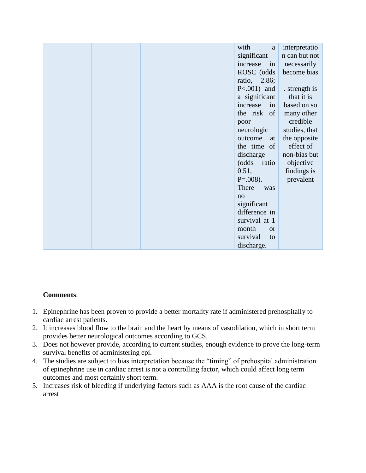|  | with<br>a          | interpretatio |
|--|--------------------|---------------|
|  | significant        | n can but not |
|  | increase in        | necessarily   |
|  | ROSC (odds         | become bias   |
|  | ratio, 2.86;       |               |
|  | $P<.001)$ and      | . strength is |
|  | a significant      | that it is    |
|  | increase<br>in     | based on so   |
|  | the risk of        | many other    |
|  | poor               | credible      |
|  | neurologic         | studies, that |
|  | outcome<br>at      | the opposite  |
|  | the time of        | effect of     |
|  | discharge          | non-bias but  |
|  | (odds ratio        | objective     |
|  | 0.51,              | findings is   |
|  | $P=.008$ ).        | prevalent     |
|  | There<br>was       |               |
|  | no                 |               |
|  | significant        |               |
|  | difference in      |               |
|  | survival at 1      |               |
|  | month<br><b>or</b> |               |
|  | survival<br>to     |               |
|  | discharge.         |               |

## **Comments**:

- 1. Epinephrine has been proven to provide a better mortality rate if administered prehospitally to cardiac arrest patients.
- 2. It increases blood flow to the brain and the heart by means of vasodilation, which in short term provides better neurological outcomes according to GCS.
- 3. Does not however provide, according to current studies, enough evidence to prove the long-term survival benefits of administering epi.
- 4. The studies are subject to bias interpretation because the "timing" of prehospital administration of epinephrine use in cardiac arrest is not a controlling factor, which could affect long term outcomes and most certainly short term.
- 5. Increases risk of bleeding if underlying factors such as AAA is the root cause of the cardiac arrest